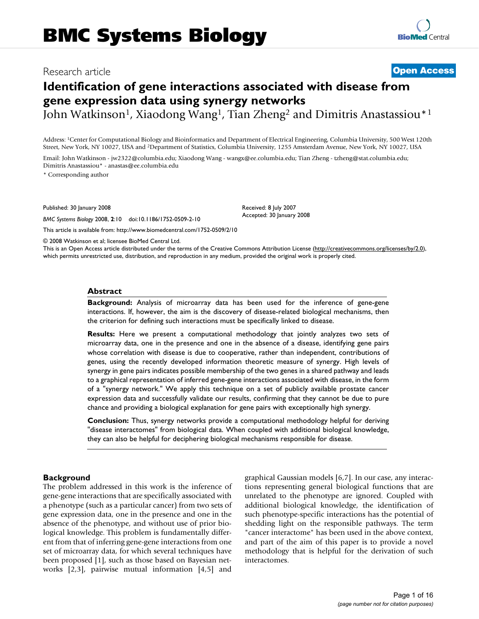# Research article **[Open Access](http://www.biomedcentral.com/info/about/charter/)**

# **Identification of gene interactions associated with disease from gene expression data using synergy networks**

John Watkinson<sup>1</sup>, Xiaodong Wang<sup>1</sup>, Tian Zheng<sup>2</sup> and Dimitris Anastassiou<sup>\*1</sup>

Address: 1Center for Computational Biology and Bioinformatics and Department of Electrical Engineering, Columbia University, 500 West 120th Street, New York, NY 10027, USA and 2Department of Statistics, Columbia University, 1255 Amsterdam Avenue, New York, NY 10027, USA

Email: John Watkinson - jw2322@columbia.edu; Xiaodong Wang - wangx@ee.columbia.edu; Tian Zheng - tzheng@stat.columbia.edu; Dimitris Anastassiou\* - anastas@ee.columbia.edu

\* Corresponding author

Published: 30 January 2008

*BMC Systems Biology* 2008, **2**:10 doi:10.1186/1752-0509-2-10

[This article is available from: http://www.biomedcentral.com/1752-0509/2/10](http://www.biomedcentral.com/1752-0509/2/10)

Received: 8 July 2007 Accepted: 30 January 2008

© 2008 Watkinson et al; licensee BioMed Central Ltd.

This is an Open Access article distributed under the terms of the Creative Commons Attribution License [\(http://creativecommons.org/licenses/by/2.0\)](http://creativecommons.org/licenses/by/2.0), which permits unrestricted use, distribution, and reproduction in any medium, provided the original work is properly cited.

# **Abstract**

**Background:** Analysis of microarray data has been used for the inference of gene-gene interactions. If, however, the aim is the discovery of disease-related biological mechanisms, then the criterion for defining such interactions must be specifically linked to disease.

**Results:** Here we present a computational methodology that jointly analyzes two sets of microarray data, one in the presence and one in the absence of a disease, identifying gene pairs whose correlation with disease is due to cooperative, rather than independent, contributions of genes, using the recently developed information theoretic measure of synergy. High levels of synergy in gene pairs indicates possible membership of the two genes in a shared pathway and leads to a graphical representation of inferred gene-gene interactions associated with disease, in the form of a "synergy network." We apply this technique on a set of publicly available prostate cancer expression data and successfully validate our results, confirming that they cannot be due to pure chance and providing a biological explanation for gene pairs with exceptionally high synergy.

**Conclusion:** Thus, synergy networks provide a computational methodology helpful for deriving "disease interactomes" from biological data. When coupled with additional biological knowledge, they can also be helpful for deciphering biological mechanisms responsible for disease.

#### **Background**

The problem addressed in this work is the inference of gene-gene interactions that are specifically associated with a phenotype (such as a particular cancer) from two sets of gene expression data, one in the presence and one in the absence of the phenotype, and without use of prior biological knowledge. This problem is fundamentally different from that of inferring gene-gene interactions from one set of microarray data, for which several techniques have been proposed [1], such as those based on Bayesian networks [2,3], pairwise mutual information [4,5] and graphical Gaussian models [6,7]. In our case, any interactions representing general biological functions that are unrelated to the phenotype are ignored. Coupled with additional biological knowledge, the identification of such phenotype-specific interactions has the potential of shedding light on the responsible pathways. The term "cancer interactome" has been used in the above context, and part of the aim of this paper is to provide a novel methodology that is helpful for the derivation of such interactomes.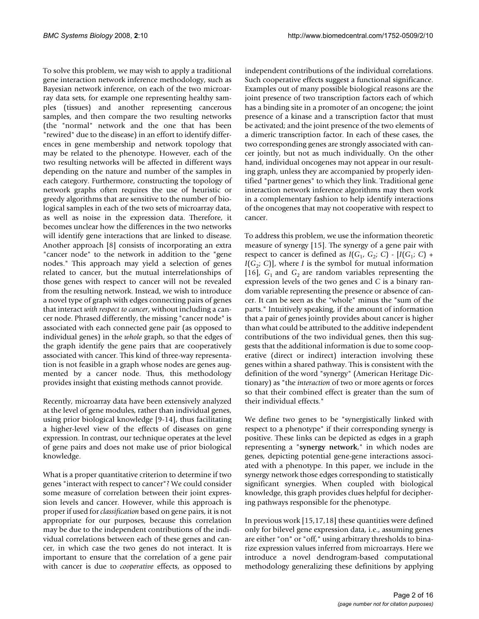To solve this problem, we may wish to apply a traditional gene interaction network inference methodology, such as Bayesian network inference, on each of the two microarray data sets, for example one representing healthy samples (tissues) and another representing cancerous samples, and then compare the two resulting networks (the "normal" network and the one that has been "rewired" due to the disease) in an effort to identify differences in gene membership and network topology that may be related to the phenotype. However, each of the two resulting networks will be affected in different ways depending on the nature and number of the samples in each category. Furthermore, constructing the topology of network graphs often requires the use of heuristic or greedy algorithms that are sensitive to the number of biological samples in each of the two sets of microarray data, as well as noise in the expression data. Therefore, it becomes unclear how the differences in the two networks will identify gene interactions that are linked to disease. Another approach [8] consists of incorporating an extra "cancer node" to the network in addition to the "gene nodes." This approach may yield a selection of genes related to cancer, but the mutual interrelationships of those genes with respect to cancer will not be revealed from the resulting network. Instead, we wish to introduce a novel type of graph with edges connecting pairs of genes that interact *with respect to cancer*, without including a cancer node. Phrased differently, the missing "cancer node" is associated with each connected gene pair (as opposed to individual genes) in the *whole* graph, so that the edges of the graph identify the gene pairs that are cooperatively associated with cancer. This kind of three-way representation is not feasible in a graph whose nodes are genes augmented by a cancer node. Thus, this methodology provides insight that existing methods cannot provide.

Recently, microarray data have been extensively analyzed at the level of gene modules, rather than individual genes, using prior biological knowledge [9-14], thus facilitating a higher-level view of the effects of diseases on gene expression. In contrast, our technique operates at the level of gene pairs and does not make use of prior biological knowledge.

What is a proper quantitative criterion to determine if two genes "interact with respect to cancer"? We could consider some measure of correlation between their joint expression levels and cancer. However, while this approach is proper if used for *classification* based on gene pairs, it is not appropriate for our purposes, because this correlation may be due to the independent contributions of the individual correlations between each of these genes and cancer, in which case the two genes do not interact. It is important to ensure that the correlation of a gene pair with cancer is due to *cooperative* effects, as opposed to

independent contributions of the individual correlations. Such cooperative effects suggest a functional significance. Examples out of many possible biological reasons are the joint presence of two transcription factors each of which has a binding site in a promoter of an oncogene; the joint presence of a kinase and a transcription factor that must be activated; and the joint presence of the two elements of a dimeric transcription factor. In each of these cases, the two corresponding genes are strongly associated with cancer jointly, but not as much individually. On the other hand, individual oncogenes may not appear in our resulting graph, unless they are accompanied by properly identified "partner genes" to which they link. Traditional gene interaction network inference algorithms may then work in a complementary fashion to help identify interactions of the oncogenes that may not cooperative with respect to cancer.

To address this problem, we use the information theoretic measure of synergy [15]. The synergy of a gene pair with respect to cancer is defined as  $I(G_1, G_2; C) - [I(G_1; C) +$  $I(G_2; C)$ , where *I* is the symbol for mutual information [16],  $G_1$  and  $G_2$  are random variables representing the expression levels of the two genes and *C* is a binary random variable representing the presence or absence of cancer. It can be seen as the "whole" minus the "sum of the parts." Intuitively speaking, if the amount of information that a pair of genes jointly provides about cancer is higher than what could be attributed to the additive independent contributions of the two individual genes, then this suggests that the additional information is due to some cooperative (direct or indirect) interaction involving these genes within a shared pathway. This is consistent with the definition of the word "synergy" (American Heritage Dictionary) as "the *interaction* of two or more agents or forces so that their combined effect is greater than the sum of their individual effects."

We define two genes to be "synergistically linked with respect to a phenotype" if their corresponding synergy is positive. These links can be depicted as edges in a graph representing a "**synergy network**," in which nodes are genes, depicting potential gene-gene interactions associated with a phenotype. In this paper, we include in the synergy network those edges corresponding to statistically significant synergies. When coupled with biological knowledge, this graph provides clues helpful for deciphering pathways responsible for the phenotype.

In previous work [15,17,18] these quantities were defined only for bilevel gene expression data, i.e., assuming genes are either "on" or "off," using arbitrary thresholds to binarize expression values inferred from microarrays. Here we introduce a novel dendrogram-based computational methodology generalizing these definitions by applying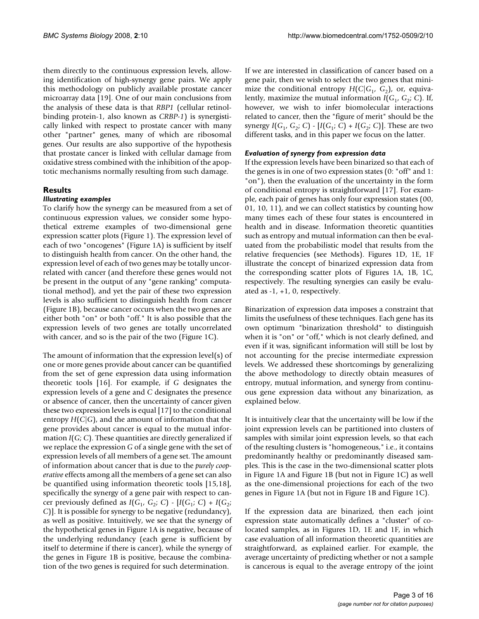them directly to the continuous expression levels, allowing identification of high-synergy gene pairs. We apply this methodology on publicly available prostate cancer microarray data [19]. One of our main conclusions from the analysis of these data is that *RBP1* (cellular retinolbinding protein-1, also known as *CRBP-1*) is synergistically linked with respect to prostate cancer with many other "partner" genes, many of which are ribosomal genes. Our results are also supportive of the hypothesis that prostate cancer is linked with cellular damage from oxidative stress combined with the inhibition of the apoptotic mechanisms normally resulting from such damage.

# **Results**

# *Illustrating examples*

To clarify how the synergy can be measured from a set of continuous expression values, we consider some hypothetical extreme examples of two-dimensional gene expression scatter plots (Figure 1). The expression level of each of two "oncogenes" (Figure 1A) is sufficient by itself to distinguish health from cancer. On the other hand, the expression level of each of two genes may be totally uncorrelated with cancer (and therefore these genes would not be present in the output of any "gene ranking" computational method), and yet the pair of these two expression levels is also sufficient to distinguish health from cancer (Figure 1B), because cancer occurs when the two genes are either both "on" or both "off." It is also possible that the expression levels of two genes are totally uncorrelated with cancer, and so is the pair of the two (Figure 1C).

The amount of information that the expression level(s) of one or more genes provide about cancer can be quantified from the set of gene expression data using information theoretic tools [16]. For example, if *G* designates the expression levels of a gene and *C* designates the presence or absence of cancer, then the uncertainty of cancer given these two expression levels is equal [17] to the conditional entropy *H*(*C*|*G*), and the amount of information that the gene provides about cancer is equal to the mutual information *I*(*G*; *C*). These quantities are directly generalized if we replace the expression *G* of a single gene with the set of expression levels of all members of a gene set. The amount of information about cancer that is due to the *purely cooperative* effects among all the members of a gene set can also be quantified using information theoretic tools [15,18], specifically the synergy of a gene pair with respect to cancer previously defined as  $I(G_1, G_2; C) - [I(G_1; C) + I(G_2;$ *C*)]. It is possible for synergy to be negative (redundancy), as well as positive. Intuitively, we see that the synergy of the hypothetical genes in Figure 1A is negative, because of the underlying redundancy (each gene is sufficient by itself to determine if there is cancer), while the synergy of the genes in Figure 1B is positive, because the combination of the two genes is required for such determination.

If we are interested in classification of cancer based on a gene pair, then we wish to select the two genes that minimize the conditional entropy  $H(C|G_1, G_2)$ , or, equivalently, maximize the mutual information  $I(G_1, G_2; C)$ . If, however, we wish to infer biomolecular interactions related to cancer, then the "figure of merit" should be the synergy  $I(G_1, G_2; C) - [I(G_1; C) + I(G_2; C)]$ . These are two different tasks, and in this paper we focus on the latter.

# *Evaluation of synergy from expression data*

If the expression levels have been binarized so that each of the genes is in one of two expression states (0: "off" and 1: "on"), then the evaluation of the uncertainty in the form of conditional entropy is straightforward [17]. For example, each pair of genes has only four expression states (00, 01, 10, 11), and we can collect statistics by counting how many times each of these four states is encountered in health and in disease. Information theoretic quantities such as entropy and mutual information can then be evaluated from the probabilistic model that results from the relative frequencies (see Methods). Figures 1D, 1E, 1F illustrate the concept of binarized expression data from the corresponding scatter plots of Figures 1A, 1B, 1C, respectively. The resulting synergies can easily be evaluated as -1, +1, 0, respectively.

Binarization of expression data imposes a constraint that limits the usefulness of these techniques. Each gene has its own optimum "binarization threshold" to distinguish when it is "on" or "off," which is not clearly defined, and even if it was, significant information will still be lost by not accounting for the precise intermediate expression levels. We addressed these shortcomings by generalizing the above methodology to directly obtain measures of entropy, mutual information, and synergy from continuous gene expression data without any binarization, as explained below.

It is intuitively clear that the uncertainty will be low if the joint expression levels can be partitioned into clusters of samples with similar joint expression levels, so that each of the resulting clusters is "homogeneous," i.e., it contains predominantly healthy or predominantly diseased samples. This is the case in the two-dimensional scatter plots in Figure 1A and Figure 1B (but not in Figure 1C) as well as the one-dimensional projections for each of the two genes in Figure 1A (but not in Figure 1B and Figure 1C).

If the expression data are binarized, then each joint expression state automatically defines a "cluster" of colocated samples, as in Figures 1D, 1E and 1F, in which case evaluation of all information theoretic quantities are straightforward, as explained earlier. For example, the average uncertainty of predicting whether or not a sample is cancerous is equal to the average entropy of the joint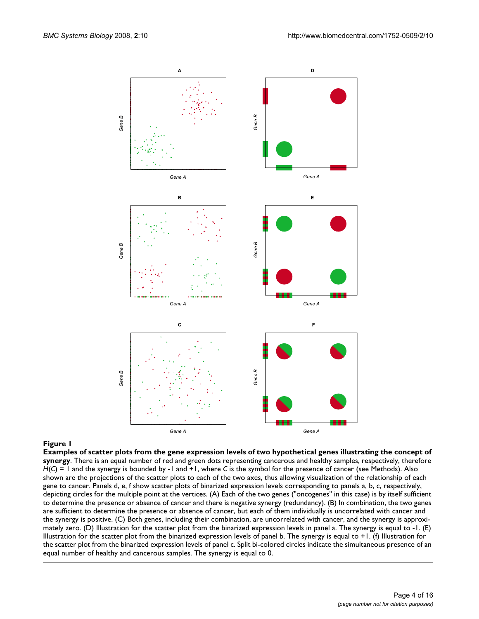

**Examples of scatter plots from the gene expression levels of two hypothetical genes illustrating the concept of synergy**. There is an equal number of red and green dots representing cancerous and healthy samples, respectively, therefore *H*(*C*) = 1 and the synergy is bounded by -1 and +1, where *C* is the symbol for the presence of cancer (see Methods). Also shown are the projections of the scatter plots to each of the two axes, thus allowing visualization of the relationship of each gene to cancer. Panels d, e, f show scatter plots of binarized expression levels corresponding to panels a, b, c, respectively, depicting circles for the multiple point at the vertices. (A) Each of the two genes ("oncogenes" in this case) is by itself sufficient to determine the presence or absence of cancer and there is negative synergy (redundancy). (B) In combination, the two genes are sufficient to determine the presence or absence of cancer, but each of them individually is uncorrelated with cancer and the synergy is positive. (C) Both genes, including their combination, are uncorrelated with cancer, and the synergy is approximately zero. (D) Illustration for the scatter plot from the binarized expression levels in panel a. The synergy is equal to -1. (E) Illustration for the scatter plot from the binarized expression levels of panel b. The synergy is equal to +1. (f) Illustration for the scatter plot from the binarized expression levels of panel c. Split bi-colored circles indicate the simultaneous presence of an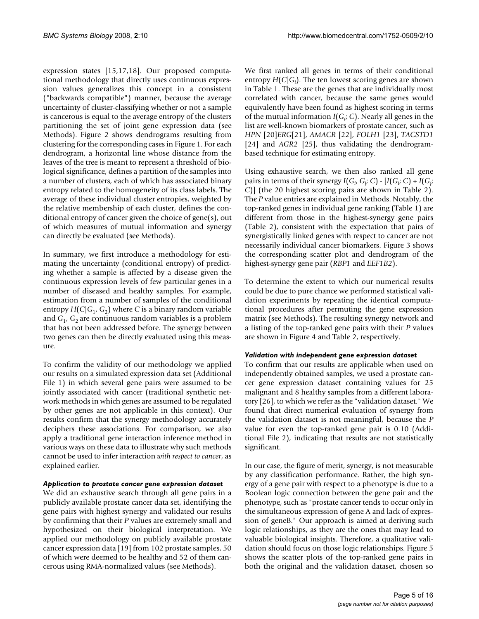expression states [15,17,18]. Our proposed computational methodology that directly uses continuous expression values generalizes this concept in a consistent ("backwards compatible") manner, because the average uncertainty of cluster-classifying whether or not a sample is cancerous is equal to the average entropy of the clusters partitioning the set of joint gene expression data (see Methods). Figure 2 shows dendrograms resulting from clustering for the corresponding cases in Figure 1. For each dendrogram, a horizontal line whose distance from the leaves of the tree is meant to represent a threshold of biological significance, defines a partition of the samples into a number of clusters, each of which has associated binary entropy related to the homogeneity of its class labels. The average of these individual cluster entropies, weighted by the relative membership of each cluster, defines the conditional entropy of cancer given the choice of gene(s), out of which measures of mutual information and synergy can directly be evaluated (see Methods).

In summary, we first introduce a methodology for estimating the uncertainty (conditional entropy) of predicting whether a sample is affected by a disease given the continuous expression levels of few particular genes in a number of diseased and healthy samples. For example, estimation from a number of samples of the conditional entropy  $H(C|G_1, G_2)$  where *C* is a binary random variable and  $G_1$ ,  $G_2$  are continuous random variables is a problem that has not been addressed before. The synergy between two genes can then be directly evaluated using this measure.

To confirm the validity of our methodology we applied our results on a simulated expression data set (Additional File 1) in which several gene pairs were assumed to be jointly associated with cancer (traditional synthetic network methods in which genes are assumed to be regulated by other genes are not applicable in this context). Our results confirm that the synergy methodology accurately deciphers these associations. For comparison, we also apply a traditional gene interaction inference method in various ways on these data to illustrate why such methods cannot be used to infer interaction *with respect to cancer*, as explained earlier.

# *Application to prostate cancer gene expression dataset*

We did an exhaustive search through all gene pairs in a publicly available prostate cancer data set, identifying the gene pairs with highest synergy and validated our results by confirming that their *P* values are extremely small and hypothesized on their biological interpretation. We applied our methodology on publicly available prostate cancer expression data [19] from 102 prostate samples, 50 of which were deemed to be healthy and 52 of them cancerous using RMA-normalized values (see Methods).

We first ranked all genes in terms of their conditional entropy *H*(*C*|*Gi* ). The ten lowest scoring genes are shown in Table 1. These are the genes that are individually most correlated with cancer, because the same genes would equivalently have been found as highest scoring in terms of the mutual information *I*(*Gi* ; *C*). Nearly all genes in the list are well-known biomarkers of prostate cancer, such as *HPN* [20]*ERG*[21], *AMACR* [22], *FOLH1* [23], *TACSTD1* [24] and *AGR2* [25], thus validating the dendrogrambased technique for estimating entropy.

Using exhaustive search, we then also ranked all gene pairs in terms of their synergy *I*( $G_i$ ,  $G_j$ ,  $C$ ) - [*I*( $G_i$ ,  $C$ ) + *I*( $G_j$ , *C*)] (the 20 highest scoring pairs are shown in Table 2). The *P* value entries are explained in Methods. Notably, the top-ranked genes in individual gene ranking (Table 1) are different from those in the highest-synergy gene pairs (Table 2), consistent with the expectation that pairs of synergistically linked genes with respect to cancer are not necessarily individual cancer biomarkers. Figure 3 shows the corresponding scatter plot and dendrogram of the highest-synergy gene pair (*RBP1* and *EEF1B2*).

To determine the extent to which our numerical results could be due to pure chance we performed statistical validation experiments by repeating the identical computational procedures after permuting the gene expression matrix (see Methods). The resulting synergy network and a listing of the top-ranked gene pairs with their *P* values are shown in Figure 4 and Table 2, respectively.

#### *Validation with independent gene expression dataset*

To confirm that our results are applicable when used on independently obtained samples, we used a prostate cancer gene expression dataset containing values for 25 malignant and 8 healthy samples from a different laboratory [26], to which we refer as the "validation dataset." We found that direct numerical evaluation of synergy from the validation dataset is not meaningful, because the *P* value for even the top-ranked gene pair is 0.10 (Additional File 2), indicating that results are not statistically significant.

In our case, the figure of merit, synergy, is not measurable by any classification performance. Rather, the high synergy of a gene pair with respect to a phenotype is due to a Boolean logic connection between the gene pair and the phenotype, such as "prostate cancer tends to occur only in the simultaneous expression of gene A and lack of expression of geneB." Our approach is aimed at deriving such logic relationships, as they are the ones that may lead to valuable biological insights. Therefore, a qualitative validation should focus on those logic relationships. Figure 5 shows the scatter plots of the top-ranked gene pairs in both the original and the validation dataset, chosen so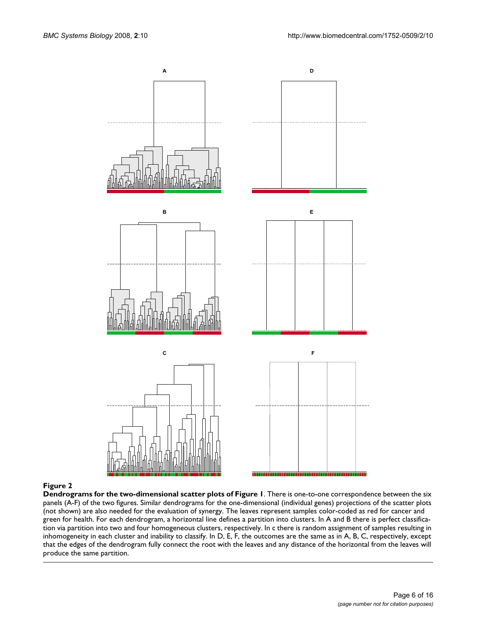

**Dendrograms for the two-dimensional scatter plots of Figure 1**. There is one-to-one correspondence between the six panels (A-F) of the two figures. Similar dendrograms for the one-dimensional (individual genes) projections of the scatter plots (not shown) are also needed for the evaluation of synergy. The leaves represent samples color-coded as red for cancer and green for health. For each dendrogram, a horizontal line defines a partition into clusters. In A and B there is perfect classification via partition into two and four homogeneous clusters, respectively. In c there is random assignment of samples resulting in inhomogeneity in each cluster and inability to classify. In D, E, F, the outcomes are the same as in A, B, C, respectively, except that the edges of the dendrogram fully connect the root with the leaves and any distance of the horizontal from the leaves will produce the same partition.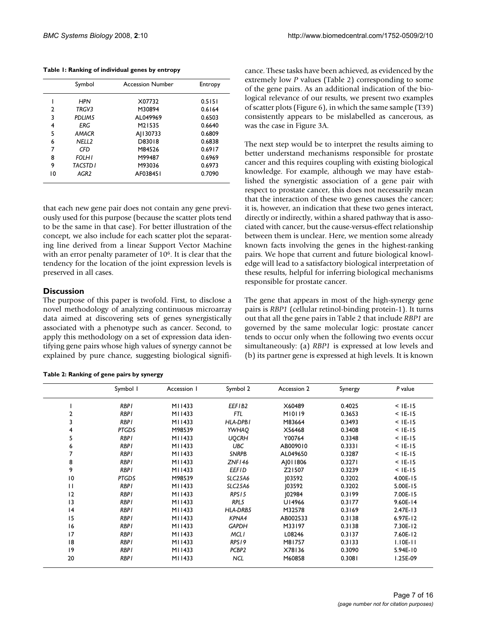**Table 1: Ranking of individual genes by entropy**

|    | Symbol           | <b>Accession Number</b> | Entropy |  |
|----|------------------|-------------------------|---------|--|
|    | <b>HPN</b>       | X07732                  | 0.5151  |  |
| 2  | TRGV3            | M30894                  | 0.6164  |  |
| 3  | PDLIM5           | AL049969                | 0.6503  |  |
| 4  | ERG              | M21535                  | 0.6640  |  |
| 5  | AMACR            | AJ130733                | 0.6809  |  |
| 6  | NFI12            | D83018                  | 0.6838  |  |
| 7  | CFD              | M84526                  | 0.6917  |  |
| 8  | <b>FOLHI</b>     | M99487                  | 0.6969  |  |
| 9  | <b>TACSTD1</b>   | M93036                  | 0.6973  |  |
| 10 | AGR <sub>2</sub> | AF038451                | 0.7090  |  |

that each new gene pair does not contain any gene previously used for this purpose (because the scatter plots tend to be the same in that case). For better illustration of the concept, we also include for each scatter plot the separating line derived from a linear Support Vector Machine with an error penalty parameter of 106. It is clear that the tendency for the location of the joint expression levels is preserved in all cases.

# **Discussion**

The purpose of this paper is twofold. First, to disclose a novel methodology of analyzing continuous microarray data aimed at discovering sets of genes synergistically associated with a phenotype such as cancer. Second, to apply this methodology on a set of expression data identifying gene pairs whose high values of synergy cannot be explained by pure chance, suggesting biological signifi-

**Table 2: Ranking of gene pairs by synergy**

cance. These tasks have been achieved, as evidenced by the extremely low *P* values (Table 2) corresponding to some of the gene pairs. As an additional indication of the biological relevance of our results, we present two examples of scatter plots (Figure 6), in which the same sample (T39) consistently appears to be mislabelled as cancerous, as was the case in Figure 3A.

The next step would be to interpret the results aiming to better understand mechanisms responsible for prostate cancer and this requires coupling with existing biological knowledge. For example, although we may have established the synergistic association of a gene pair with respect to prostate cancer, this does not necessarily mean that the interaction of these two genes causes the cancer; it is, however, an indication that these two genes interact, directly or indirectly, within a shared pathway that is associated with cancer, but the cause-versus-effect relationship between them is unclear. Here, we mention some already known facts involving the genes in the highest-ranking pairs. We hope that current and future biological knowledge will lead to a satisfactory biological interpretation of these results, helpful for inferring biological mechanisms responsible for prostate cancer.

The gene that appears in most of the high-synergy gene pairs is *RBP1* (cellular retinol-binding protein-1). It turns out that all the gene pairs in Table 2 that include *RBP1* are governed by the same molecular logic: prostate cancer tends to occur only when the following two events occur simultaneously: (a) *RBP1* is expressed at low levels and (b) its partner gene is expressed at high levels. It is known

|    | Symbol I     | Accession 1 | Symbol 2          | Accession 2 | Synergy | P value      |
|----|--------------|-------------|-------------------|-------------|---------|--------------|
|    | <b>RBP1</b>  | M11433      | EEF1B2            | X60489      | 0.4025  | $<$ IE-15    |
| 2  | RBP I        | M11433      | <b>FTL</b>        | M10119      | 0.3653  | $<$ 1E-15    |
| 3  | <b>RBPI</b>  | M11433      | HLA-DPBI          | M83664      | 0.3493  | $<$ IE-15    |
| 4  | <b>PTGDS</b> | M98539      | <b>YWHAQ</b>      | X56468      | 0.3408  | $<$ IE-15    |
| 5  | <b>RBPI</b>  | M11433      | <b>UQCRH</b>      | Y00764      | 0.3348  | $<$ IE-15    |
| 6  | <b>RBPI</b>  | M11433      | <b>UBC</b>        | AB009010    | 0.3331  | $<$ IE-15    |
| 7  | <b>RBPI</b>  | M11433      | <b>SNRPB</b>      | AL049650    | 0.3287  | $<$ IE-15    |
| 8  | <b>RBPI</b>  | M11433      | ZNF146            | AI011806    | 0.3271  | $<$ IE-15    |
| 9  | <b>RBPI</b>  | M11433      | <b>EEFID</b>      | Z21507      | 0.3239  | $<$ IE-15    |
| 10 | <b>PTGDS</b> | M98539      | SLC25A6           | 103592      | 0.3202  | 4.00E-15     |
| П  | <b>RBP1</b>  | M11433      | <b>SLC25A6</b>    | 103592      | 0.3202  | 5.00E-15     |
| 12 | <b>RBPI</b>  | M11433      | RPS <sub>15</sub> | 102984      | 0.3199  | 7.00E-15     |
| 3  | <b>RBP1</b>  | M11433      | RPL5              | U14966      | 0.3177  | 9.60E-14     |
| 4  | <b>RBPI</b>  | M11433      | HLA-DRB5          | M32578      | 0.3169  | 2.47E-13     |
| 15 | <b>RBP1</b>  | M11433      | KPNA4             | AB002533    | 0.3138  | $6.97E - 12$ |
| 16 | <b>RBP1</b>  | M11433      | <b>GAPDH</b>      | M33197      | 0.3138  | 7.30E-12     |
| 17 | <b>RBPI</b>  | M11433      | <b>MCLI</b>       | L08246      | 0.3137  | 7.60E-12     |
| 18 | <b>RBP1</b>  | M11433      | RPS <sub>19</sub> | M81757      | 0.3133  | $1.10E-11$   |
| 9  | <b>RBP1</b>  | M11433      | PCBP <sub>2</sub> | X78136      | 0.3090  | 5.94E-10     |
| 20 | <b>RBP1</b>  | M11433      | <b>NCL</b>        | M60858      | 0.3081  | I.25E-09     |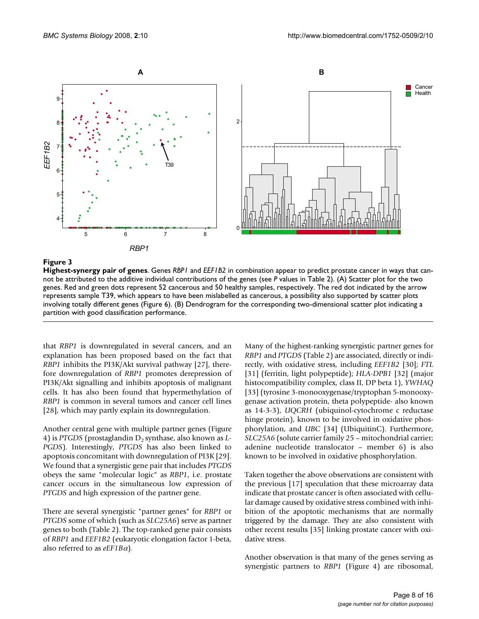Cancer<br>Health



### **Figure 3**

**Highest-synergy pair of genes**. Genes *RBP1* and *EEF1B2* in combination appear to predict prostate cancer in ways that cannot be attributed to the additive individual contributions of the genes (see *P* values in Table 2). (A) Scatter plot for the two genes. Red and green dots represent 52 cancerous and 50 healthy samples, respectively. The red dot indicated by the arrow represents sample T39, which appears to have been mislabelled as cancerous, a possibility also supported by scatter plots involving totally different genes (Figure 6). (B) Dendrogram for the corresponding two-dimensional scatter plot indicating a

that *RBP1* is downregulated in several cancers, and an explanation has been proposed based on the fact that *RBP1* inhibits the PI3K/Akt survival pathway [27], therefore downregulation of *RBP1* promotes derepression of PI3K/Akt signalling and inhibits apoptosis of malignant cells. It has also been found that hypermethylation of *RBP1* is common in several tumors and cancer cell lines [28], which may partly explain its downregulation.

Another central gene with multiple partner genes (Figure 4) is *PTGDS* (prostaglandin D<sub>2</sub> synthase, also known as *L*-*PGDS*). Interestingly, *PTGDS* has also been linked to apoptosis concomitant with downregulation of PI3K [29]. We found that a synergistic gene pair that includes *PTGDS* obeys the same "molecular logic" as *RBP1*, i.e. prostate cancer occurs in the simultaneous low expression of *PTGDS* and high expression of the partner gene.

There are several synergistic "partner genes" for *RBP1* or *PTGDS* some of which (such as *SLC25A6*) serve as partner genes to both (Table 2). The top-ranked gene pair consists of *RBP1* and *EEF1B2* (eukaryotic elongation factor 1-beta, also referred to as *eEF1B*α).

Many of the highest-ranking synergistic partner genes for *RBP1* and *PTGDS* (Table 2) are associated, directly or indirectly, with oxidative stress, including *EEF1B2* [30]; *FTL* [31] (ferritin, light polypeptide); *HLA-DPB1* [32] (major histocompatibility complex, class II, DP beta 1), *YWHAQ* [33] (tyrosine 3-monooxygenase/tryptophan 5-monooxygenase activation protein, theta polypeptide- also known as 14-3-3), *UQCRH* (ubiquinol-cytochrome c reductase hinge protein), known to be involved in oxidative phosphorylation, and *UBC* [34] (UbiquitinC). Furthermore, *SLC25A6* (solute carrier family 25 – mitochondrial carrier; adenine nucleotide translocator – member 6) is also known to be involved in oxidative phosphorylation.

Taken together the above observations are consistent with the previous [17] speculation that these microarray data indicate that prostate cancer is often associated with cellular damage caused by oxidative stress combined with inhibition of the apoptotic mechanisms that are normally triggered by the damage. They are also consistent with other recent results [35] linking prostate cancer with oxidative stress.

Another observation is that many of the genes serving as synergistic partners to *RBP1* (Figure 4) are ribosomal,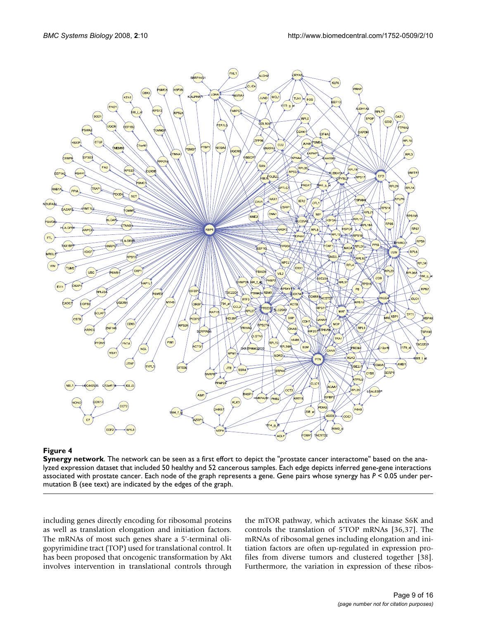

**Synergy network**. The network can be seen as a first effort to depict the "prostate cancer interactome" based on the analyzed expression dataset that included 50 healthy and 52 cancerous samples. Each edge depicts inferred gene-gene interactions associated with prostate cancer. Each node of the graph represents a gene. Gene pairs whose synergy has *P* < 0.05 under permutation B (see text) are indicated by the edges of the graph.

including genes directly encoding for ribosomal proteins as well as translation elongation and initiation factors. The mRNAs of most such genes share a 5'-terminal oligopyrimidine tract (TOP) used for translational control. It has been proposed that oncogenic transformation by Akt involves intervention in translational controls through the mTOR pathway, which activates the kinase S6K and controls the translation of 5'TOP mRNAs [36,37]. The mRNAs of ribosomal genes including elongation and initiation factors are often up-regulated in expression profiles from diverse tumors and clustered together [38]. Furthermore, the variation in expression of these ribos-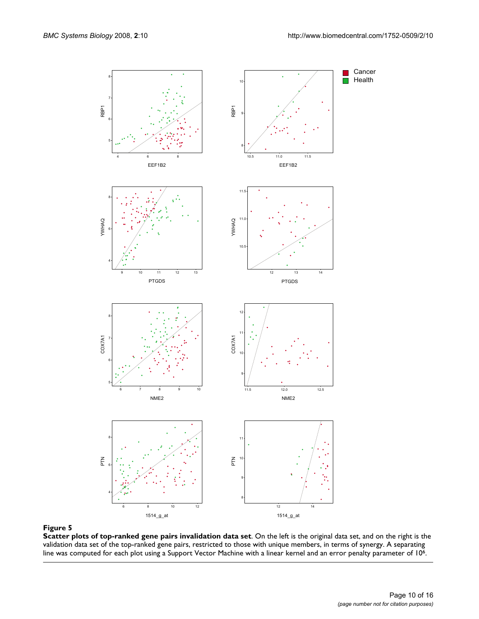

**Scatter plots of top-ranked gene pairs invalidation data set**. On the left is the original data set, and on the right is the validation data set of the top-ranked gene pairs, restricted to those with unique members, in terms of synergy. A separating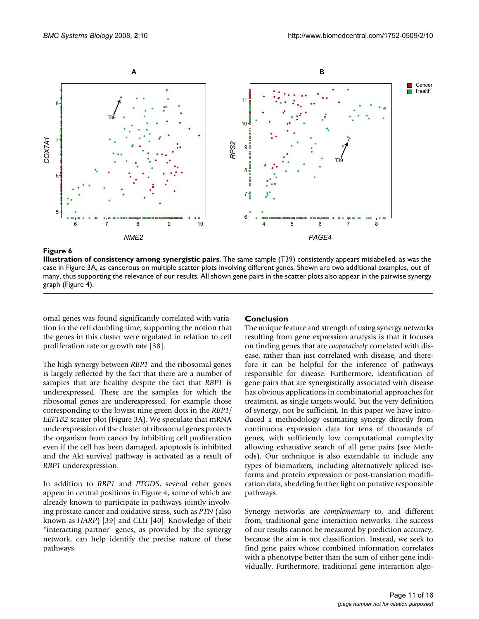

**Illustration of consistency among synergistic pairs**. The same sample (T39) consistently appears mislabelled, as was the case in Figure 3A, as cancerous on multiple scatter plots involving different genes. Shown are two additional examples, out of many, thus supporting the relevance of our results. All shown gene pairs in the scatter plots also appear in the pairwise synergy graph (Figure 4).

omal genes was found significantly correlated with variation in the cell doubling time, supporting the notion that the genes in this cluster were regulated in relation to cell proliferation rate or growth rate [38].

The high synergy between *RBP1* and the ribosomal genes is largely reflected by the fact that there are a number of samples that are healthy despite the fact that *RBP1* is underexpressed. These are the samples for which the ribosomal genes are underexpressed, for example those corresponding to the lowest nine green dots in the *RBP1/ EEF1B2* scatter plot (Figure 3A). We speculate that mRNA underexpression of the cluster of ribosomal genes protects the organism from cancer by inhibiting cell proliferation even if the cell has been damaged, apoptosis is inhibited and the Akt survival pathway is activated as a result of *RBP1* underexpression.

In addition to *RBP1* and *PTGDS*, several other genes appear in central positions in Figure 4, some of which are already known to participate in pathways jointly involving prostate cancer and oxidative stress, such as *PTN* (also known as *HARP*) [39] and *CLU* [40]. Knowledge of their "interacting partner" genes, as provided by the synergy network, can help identify the precise nature of these pathways.

# **Conclusion**

The unique feature and strength of using synergy networks resulting from gene expression analysis is that it focuses on finding genes that are *cooperatively* correlated with disease, rather than just correlated with disease, and therefore it can be helpful for the inference of pathways responsible for disease. Furthermore, identification of gene pairs that are synergistically associated with disease has obvious applications in combinatorial approaches for treatment, as single targets would, but the very definition of synergy, not be sufficient. In this paper we have introduced a methodology estimating synergy directly from continuous expression data for tens of thousands of genes, with sufficiently low computational complexity allowing exhaustive search of all gene pairs (see Methods). Our technique is also extendable to include any types of biomarkers, including alternatively spliced isoforms and protein expression or post-translation modification data, shedding further light on putative responsible pathways.

Synergy networks are *complementary* to, and different from, traditional gene interaction networks. The success of our results cannot be measured by prediction accuracy, because the aim is not classification. Instead, we seek to find gene pairs whose combined information correlates with a phenotype better than the sum of either gene individually. Furthermore, traditional gene interaction algo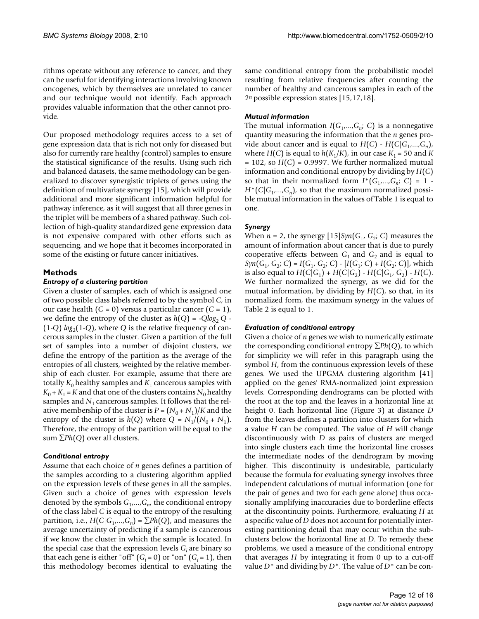rithms operate without any reference to cancer, and they can be useful for identifying interactions involving known oncogenes, which by themselves are unrelated to cancer and our technique would not identify. Each approach provides valuable information that the other cannot provide.

Our proposed methodology requires access to a set of gene expression data that is rich not only for diseased but also for currently rare healthy (control) samples to ensure the statistical significance of the results. Using such rich and balanced datasets, the same methodology can be generalized to discover synergistic triplets of genes using the definition of multivariate synergy [15], which will provide additional and more significant information helpful for pathway inference, as it will suggest that all three genes in the triplet will be members of a shared pathway. Such collection of high-quality standardized gene expression data is not expensive compared with other efforts such as sequencing, and we hope that it becomes incorporated in some of the existing or future cancer initiatives.

#### **Methods**

#### *Entropy of a clustering partition*

Given a cluster of samples, each of which is assigned one of two possible class labels referred to by the symbol *C*, in our case health (*C* = 0) versus a particular cancer (*C* = 1), we define the entropy of the cluster as  $h(Q) = -Q \log_2 Q (1-Q) \log_2(1-Q)$ , where *Q* is the relative frequency of cancerous samples in the cluster. Given a partition of the full set of samples into a number of disjoint clusters, we define the entropy of the partition as the average of the entropies of all clusters, weighted by the relative membership of each cluster. For example, assume that there are totally  $K_0$  healthy samples and  $K_1$  cancerous samples with  $K_0 + K_1 = K$  and that one of the clusters contains  $N_0$  healthy samples and  $N_1$  cancerous samples. It follows that the relative membership of the cluster is  $P = (N_0 + N_1)/K$  and the entropy of the cluster is  $h(Q)$  where  $Q = N_1/(N_0 + N_1)$ . Therefore, the entropy of the partition will be equal to the sum ∑*Ph*(*Q*) over all clusters.

#### *Conditional entropy*

Assume that each choice of *n* genes defines a partition of the samples according to a clustering algorithm applied on the expression levels of these genes in all the samples. Given such a choice of genes with expression levels denoted by the symbols  $G_1$ ,..., $G_n$ , the conditional entropy of the class label *C* is equal to the entropy of the resulting partition, i.e.,  $H(C|G_1,...,G_n) = \sum Ph(Q)$ , and measures the average uncertainty of predicting if a sample is cancerous if we know the cluster in which the sample is located. In the special case that the expression levels  $G_i$  are binary so that each gene is either "off"  $(G_i = 0)$  or "on"  $(G_i = 1)$ , then this methodology becomes identical to evaluating the

same conditional entropy from the probabilistic model resulting from relative frequencies after counting the number of healthy and cancerous samples in each of the 2*<sup>n</sup>*possible expression states [15,17,18].

#### *Mutual information*

The mutual information  $I(G_1,...,G_n; C)$  is a nonnegative quantity measuring the information that the *n* genes provide about cancer and is equal to  $H(C)$  -  $H(C|G_1,...,G_n)$ , where *H*(*C*) is equal to  $h(K_1/K)$ , in our case  $K_1 = 50$  and *K*  $= 102$ , so  $H(C) = 0.9997$ . We further normalized mutual information and conditional entropy by dividing by *H*(*C*) so that in their normalized form  $I^*(G_1,...,G_n; C) = 1$ .  $H^*(C|G_1,...,G_n)$ , so that the maximum normalized possible mutual information in the values of Table 1 is equal to one.

#### *Synergy*

When  $n = 2$ , the synergy  $[15]$ *Syn*( $G_1$ ,  $G_2$ ; *C*) measures the amount of information about cancer that is due to purely cooperative effects between  $G_1$  and  $G_2$  and is equal to  $Sym(G_1, G_2; C) = I(G_1, G_2; C) - [I(G_1; C) + I(G_2; C)]$ , which is also equal to  $H(C|G_1) + H(C|G_2) - H(C|G_1, G_2) - H(C)$ . We further normalized the synergy, as we did for the mutual information, by dividing by *H*(*C*), so that, in its normalized form, the maximum synergy in the values of Table 2 is equal to 1.

#### *Evaluation of conditional entropy*

Given a choice of *n* genes we wish to numerically estimate the corresponding conditional entropy ∑*Ph*(*Q*), to which for simplicity we will refer in this paragraph using the symbol *H*, from the continuous expression levels of these genes. We used the UPGMA clustering algorithm [41] applied on the genes' RMA-normalized joint expression levels. Corresponding dendrograms can be plotted with the root at the top and the leaves in a horizontal line at height 0. Each horizontal line (Figure 3) at distance *D* from the leaves defines a partition into clusters for which a value *H* can be computed. The value of *H* will change discontinuously with *D* as pairs of clusters are merged into single clusters each time the horizontal line crosses the intermediate nodes of the dendrogram by moving higher. This discontinuity is undesirable, particularly because the formula for evaluating synergy involves three independent calculations of mutual information (one for the pair of genes and two for each gene alone) thus occasionally amplifying inaccuracies due to borderline effects at the discontinuity points. Furthermore, evaluating *H* at a specific value of *D* does not account for potentially interesting partitioning detail that may occur within the subclusters below the horizontal line at *D*. To remedy these problems, we used a measure of the conditional entropy that averages *H* by integrating it from 0 up to a cut-off value *D*\* and dividing by *D*\*. The value of *D*\* can be con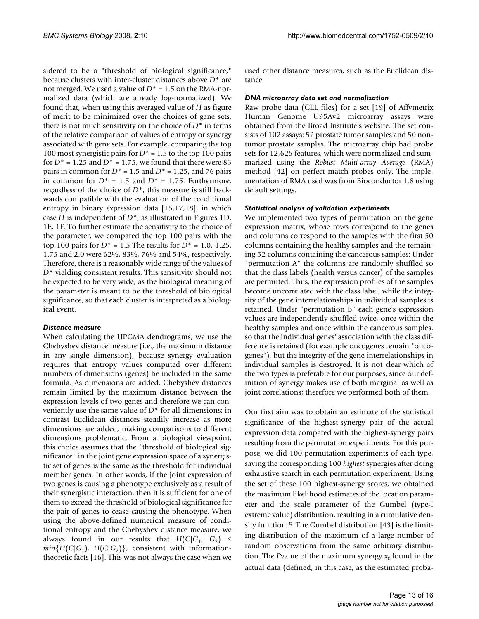sidered to be a "threshold of biological significance," because clusters with inter-cluster distances above *D*\* are not merged. We used a value of *D*\* = 1.5 on the RMA-normalized data (which are already log-normalized). We found that, when using this averaged value of *H* as figure of merit to be minimized over the choices of gene sets, there is not much sensitivity on the choice of *D*\* in terms of the relative comparison of values of entropy or synergy associated with gene sets. For example, comparing the top 100 most synergistic pairs for *D*\* = 1.5 to the top 100 pairs for  $D^* = 1.25$  and  $D^* = 1.75$ , we found that there were 83 pairs in common for  $D^* = 1.5$  and  $D^* = 1.25$ , and 76 pairs in common for  $D^* = 1.5$  and  $D^* = 1.75$ . Furthermore, regardless of the choice of *D*\*, this measure is still backwards compatible with the evaluation of the conditional entropy in binary expression data [15,17,18], in which case *H* is independent of *D*\*, as illustrated in Figures 1D, 1E, 1F. To further estimate the sensitivity to the choice of the parameter, we compared the top 100 pairs with the top 100 pairs for  $D^* = 1.5$  The results for  $D^* = 1.0$ , 1.25, 1.75 and 2.0 were 62%, 83%, 76% and 54%, respectively. Therefore, there is a reasonably wide range of the values of *D*\* yielding consistent results. This sensitivity should not be expected to be very wide, as the biological meaning of the parameter is meant to be the threshold of biological significance, so that each cluster is interpreted as a biological event.

#### *Distance measure*

When calculating the UPGMA dendrograms, we use the Chebyshev distance measure (i.e., the maximum distance in any single dimension), because synergy evaluation requires that entropy values computed over different numbers of dimensions (genes) be included in the same formula. As dimensions are added, Chebyshev distances remain limited by the maximum distance between the expression levels of two genes and therefore we can conveniently use the same value of *D*\* for all dimensions; in contrast Euclidean distances steadily increase as more dimensions are added, making comparisons to different dimensions problematic. From a biological viewpoint, this choice assumes that the "threshold of biological significance" in the joint gene expression space of a synergistic set of genes is the same as the threshold for individual member genes. In other words, if the joint expression of two genes is causing a phenotype exclusively as a result of their synergistic interaction, then it is sufficient for one of them to exceed the threshold of biological significance for the pair of genes to cease causing the phenotype. When using the above-defined numerical measure of conditional entropy and the Chebyshev distance measure, we always found in our results that  $H(C|G_1, G_2) \leq$  $min\{H(C|G_1), H(C|G_2)\}\$ , consistent with informationtheoretic facts [16]. This was not always the case when we

used other distance measures, such as the Euclidean distance.

### *DNA microarray data set and normalization*

Raw probe data (CEL files) for a set [19] of Affymetrix Human Genome U95Av2 microarray assays were obtained from the Broad Institute's website. The set consists of 102 assays: 52 prostate tumor samples and 50 nontumor prostate samples. The microarray chip had probe sets for 12,625 features, which were normalized and summarized using the *Robust Multi-array Average* (RMA) method [42] on perfect match probes only. The implementation of RMA used was from Bioconductor 1.8 using default settings.

# *Statistical analysis of validation experiments*

We implemented two types of permutation on the gene expression matrix, whose rows correspond to the genes and columns correspond to the samples with the first 50 columns containing the healthy samples and the remaining 52 columns containing the cancerous samples: Under "permutation A" the columns are randomly shuffled so that the class labels (health versus cancer) of the samples are permuted. Thus, the expression profiles of the samples become uncorrelated with the class label, while the integrity of the gene interrelationships in individual samples is retained. Under "permutation B" each gene's expression values are independently shuffled twice, once within the healthy samples and once within the cancerous samples, so that the individual genes' association with the class difference is retained (for example oncogenes remain "oncogenes"), but the integrity of the gene interrelationships in individual samples is destroyed. It is not clear which of the two types is preferable for our purposes, since our definition of synergy makes use of both marginal as well as joint correlations; therefore we performed both of them.

Our first aim was to obtain an estimate of the statistical significance of the highest-synergy pair of the actual expression data compared with the highest-synergy pairs resulting from the permutation experiments. For this purpose, we did 100 permutation experiments of each type, saving the corresponding 100 *highest* synergies after doing exhaustive search in each permutation experiment. Using the set of these 100 highest-synergy scores, we obtained the maximum likelihood estimates of the location parameter and the scale parameter of the Gumbel (type-I extreme value) distribution, resulting in a cumulative density function *F*. The Gumbel distribution [43] is the limiting distribution of the maximum of a large number of random observations from the same arbitrary distribution. The *P*value of the maximum synergy  $x_0$  found in the actual data (defined, in this case, as the estimated proba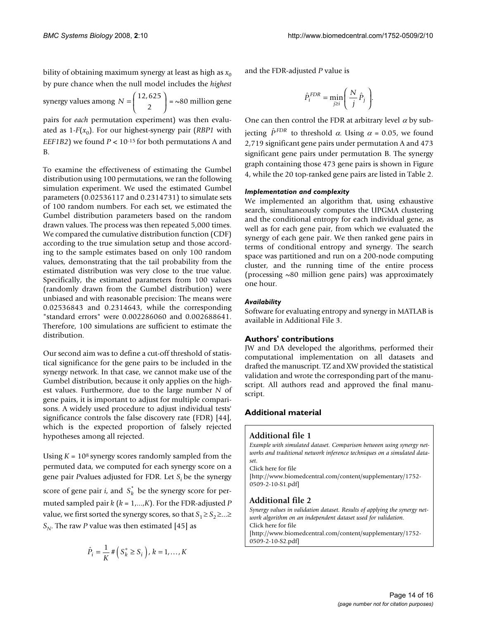B.

bility of obtaining maximum synergy at least as high as  $x_0$ by pure chance when the null model includes the *highest*

synergy values among  $N = \binom{12,625}{2} = \infty 80$  million gene pairs for *each* permutation experiment) was then evaluated as  $1-F(x_0)$ . For our highest-synergy pair (*RBP1* with *EEF1B2*) we found  $P < 10^{-15}$  for both permutations A and  $\begin{pmatrix} 12,625 \\ 2 \end{pmatrix}$ 12,625 2 ,

To examine the effectiveness of estimating the Gumbel distribution using 100 permutations, we ran the following simulation experiment. We used the estimated Gumbel parameters (0.02536117 and 0.2314731) to simulate sets of 100 random numbers. For each set, we estimated the Gumbel distribution parameters based on the random drawn values. The process was then repeated 5,000 times. We compared the cumulative distribution function (CDF) according to the true simulation setup and those according to the sample estimates based on only 100 random values, demonstrating that the tail probability from the estimated distribution was very close to the true value. Specifically, the estimated parameters from 100 values (randomly drawn from the Gumbel distribution) were unbiased and with reasonable precision: The means were 0.02536843 and 0.2314643, while the corresponding "standard errors" were 0.002286060 and 0.002688641. Therefore, 100 simulations are sufficient to estimate the distribution.

Our second aim was to define a cut-off threshold of statistical significance for the gene pairs to be included in the synergy network. In that case, we cannot make use of the Gumbel distribution, because it only applies on the highest values. Furthermore, due to the large number *N* of gene pairs, it is important to adjust for multiple comparisons. A widely used procedure to adjust individual tests' significance controls the false discovery rate (FDR) [44], which is the expected proportion of falsely rejected hypotheses among all rejected.

Using *K* = 108 synergy scores randomly sampled from the permuted data, we computed for each synergy score on a gene pair *Pvalues* adjusted for FDR. Let  $S_i$  be the synergy score of gene pair *i*, and  $S_k^*$  be the synergy score for permuted sampled pair *k* (*k* = 1,...,*K*). For the FDR-adjusted *P* value, we first sorted the synergy scores, so that  $S_1 \ge S_2 \ge ... \ge$  $S_N$ . The raw *P* value was then estimated [45] as

$$
\hat{P}_i = \frac{1}{K} \# \left( S_k^* \ge S_i \right), k = 1, \ldots, K
$$

and the FDR-adjusted *P* value is

$$
\hat{P}_i^{FDR} = \min_{j \ge i} \left( \frac{N}{j} \hat{P}_j \right).
$$

One can then control the FDR at arbitrary level  $\alpha$  by subjecting  $\hat{P}^{FDR}$  to threshold  $\alpha$ . Using  $\alpha$  = 0.05, we found 2,719 significant gene pairs under permutation A and 473 significant gene pairs under permutation B. The synergy graph containing those 473 gene pairs is shown in Figure 4, while the 20 top-ranked gene pairs are listed in Table 2.

# *Implementation and complexity*

We implemented an algorithm that, using exhaustive search, simultaneously computes the UPGMA clustering and the conditional entropy for each individual gene, as well as for each gene pair, from which we evaluated the synergy of each gene pair. We then ranked gene pairs in terms of conditional entropy and synergy. The search space was partitioned and run on a 200-node computing cluster, and the running time of the entire process (processing ~80 million gene pairs) was approximately one hour.

# *Availability*

Software for evaluating entropy and synergy in MATLAB is available in Additional File 3.

# **Authors' contributions**

JW and DA developed the algorithms, performed their computational implementation on all datasets and drafted the manuscript. TZ and XW provided the statistical validation and wrote the corresponding part of the manuscript. All authors read and approved the final manuscript.

# **Additional material**

# **Additional file 1**

*Example with simulated dataset. Comparison between using synergy networks and traditional network inference techniques on a simulated dataset.*

Click here for file

[\[http://www.biomedcentral.com/content/supplementary/1752-](http://www.biomedcentral.com/content/supplementary/1752-0509-2-10-S1.pdf) 0509-2-10-S1.pdf]

# **Additional file 2**

*Synergy values in validation dataset. Results of applying the synergy network algorithm on an independent dataset used for validation.* Click here for file [\[http://www.biomedcentral.com/content/supplementary/1752-](http://www.biomedcentral.com/content/supplementary/1752-0509-2-10-S2.pdf) 0509-2-10-S2.pdf]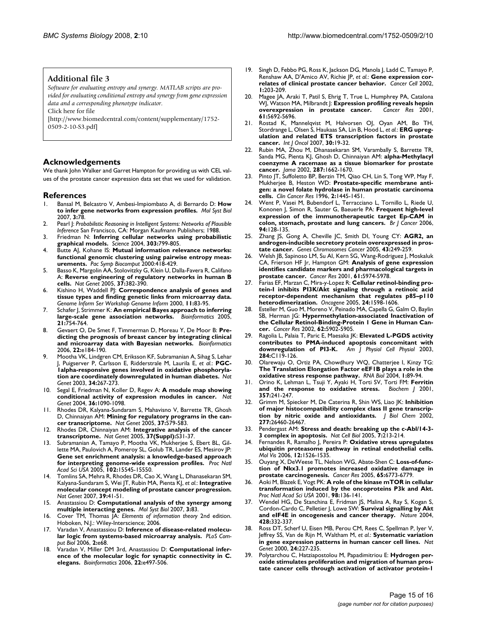#### **Additional file 3**

*Software for evaluating entropy and synergy. MATLAB scripts are provided for evaluating conditional entropy and synergy from gene expression data and a corresponding phenotype indicator.*

Click here for file

[\[http://www.biomedcentral.com/content/supplementary/1752-](http://www.biomedcentral.com/content/supplementary/1752-0509-2-10-S3.pdf) 0509-2-10-S3.pdf]

#### **Acknowledgements**

We thank John Walker and Garret Hampton for providing us with CEL values of the prostate cancer expression data set that we used for validation.

#### **References**

- 1. Bansal M, Belcastro V, Ambesi-Impiombato A, di Bernardo D: **[How](http://www.ncbi.nlm.nih.gov/entrez/query.fcgi?cmd=Retrieve&db=PubMed&dopt=Abstract&list_uids=17299415) [to infer gene networks from expression profiles.](http://www.ncbi.nlm.nih.gov/entrez/query.fcgi?cmd=Retrieve&db=PubMed&dopt=Abstract&list_uids=17299415)** *Mol Syst Biol* 2007, **3:**78.
- 2. Pearl J: *Probabilistic Reasoning in Intelligent Systems: Networks of Plausible Inference* San Francisco, CA: Morgan Kaufmann Publishers; 1988.
- 3. Friedman N: **[Inferring cellular networks using probabilistic](http://www.ncbi.nlm.nih.gov/entrez/query.fcgi?cmd=Retrieve&db=PubMed&dopt=Abstract&list_uids=14764868) [graphical models.](http://www.ncbi.nlm.nih.gov/entrez/query.fcgi?cmd=Retrieve&db=PubMed&dopt=Abstract&list_uids=14764868)** *Science* 2004, **303:**799-805.
- 4. Butte AJ, Kohane IS: **[Mutual information relevance networks:](http://www.ncbi.nlm.nih.gov/entrez/query.fcgi?cmd=Retrieve&db=PubMed&dopt=Abstract&list_uids=10902190) [functional genomic clustering using pairwise entropy meas](http://www.ncbi.nlm.nih.gov/entrez/query.fcgi?cmd=Retrieve&db=PubMed&dopt=Abstract&list_uids=10902190)[urements.](http://www.ncbi.nlm.nih.gov/entrez/query.fcgi?cmd=Retrieve&db=PubMed&dopt=Abstract&list_uids=10902190)** *Pac Symp Biocomput* 2000:418-429.
- 5. Basso K, Margolin AA, Stolovitzky G, Klein U, Dalla-Favera R, Califano A: **[Reverse engineering of regulatory networks in human B](http://www.ncbi.nlm.nih.gov/entrez/query.fcgi?cmd=Retrieve&db=PubMed&dopt=Abstract&list_uids=15778709) [cells.](http://www.ncbi.nlm.nih.gov/entrez/query.fcgi?cmd=Retrieve&db=PubMed&dopt=Abstract&list_uids=15778709)** *Nat Genet* 2005, **37:**382-390.
- Kishino H, Waddell PJ: [Correspondence analysis of genes and](http://www.ncbi.nlm.nih.gov/entrez/query.fcgi?cmd=Retrieve&db=PubMed&dopt=Abstract&list_uids=11700590) **[tissue types and finding genetic links from microarray data.](http://www.ncbi.nlm.nih.gov/entrez/query.fcgi?cmd=Retrieve&db=PubMed&dopt=Abstract&list_uids=11700590)** *Genome Inform Ser Workshop Genome Inform* 2000, **11:**83-95.
- 7. Schafer J, Strimmer K: **[An empirical Bayes approach to inferring](http://www.ncbi.nlm.nih.gov/entrez/query.fcgi?cmd=Retrieve&db=PubMed&dopt=Abstract&list_uids=15479708) [large-scale gene association networks.](http://www.ncbi.nlm.nih.gov/entrez/query.fcgi?cmd=Retrieve&db=PubMed&dopt=Abstract&list_uids=15479708)** *Bioinformatics* 2005, **21:**754-764.
- 8. Gevaert O, De Smet F, Timmerman D, Moreau Y, De Moor B: **[Pre](http://www.ncbi.nlm.nih.gov/entrez/query.fcgi?cmd=Retrieve&db=PubMed&dopt=Abstract&list_uids=16873470)[dicting the prognosis of breast cancer by integrating clinical](http://www.ncbi.nlm.nih.gov/entrez/query.fcgi?cmd=Retrieve&db=PubMed&dopt=Abstract&list_uids=16873470) [and microarray data with Bayesian networks.](http://www.ncbi.nlm.nih.gov/entrez/query.fcgi?cmd=Retrieve&db=PubMed&dopt=Abstract&list_uids=16873470)** *Bioinformatics* 2006, **22:**e184-190.
- 9. Mootha VK, Lindgren CM, Eriksson KF, Subramanian A, Sihag S, Lehar J, Puigserver P, Carlsson E, Ridderstrale M, Laurila E, *et al.*: **[PGC-](http://www.ncbi.nlm.nih.gov/entrez/query.fcgi?cmd=Retrieve&db=PubMed&dopt=Abstract&list_uids=12808457)[1alpha-responsive genes involved in oxidative phosphoryla](http://www.ncbi.nlm.nih.gov/entrez/query.fcgi?cmd=Retrieve&db=PubMed&dopt=Abstract&list_uids=12808457)[tion are coordinately downregulated in human diabetes.](http://www.ncbi.nlm.nih.gov/entrez/query.fcgi?cmd=Retrieve&db=PubMed&dopt=Abstract&list_uids=12808457)** *Nat Genet* 2003, **34:**267-273.
- 10. Segal E, Friedman N, Koller D, Regev A: **[A module map showing](http://www.ncbi.nlm.nih.gov/entrez/query.fcgi?cmd=Retrieve&db=PubMed&dopt=Abstract&list_uids=15448693) [conditional activity of expression modules in cancer.](http://www.ncbi.nlm.nih.gov/entrez/query.fcgi?cmd=Retrieve&db=PubMed&dopt=Abstract&list_uids=15448693)** *Nat Genet* 2004, **36:**1090-1098.
- Rhodes DR, Kalyana-Sundaram S, Mahavisno V, Barrette TR, Ghosh D, Chinnaiyan AM: **[Mining for regulatory programs in the can](http://www.ncbi.nlm.nih.gov/entrez/query.fcgi?cmd=Retrieve&db=PubMed&dopt=Abstract&list_uids=15920519)[cer transcriptome.](http://www.ncbi.nlm.nih.gov/entrez/query.fcgi?cmd=Retrieve&db=PubMed&dopt=Abstract&list_uids=15920519)** *Nat Genet* 2005, **37:**579-583.
- 12. Rhodes DR, Chinnaiyan AM: **[Integrative analysis of the cancer](http://www.ncbi.nlm.nih.gov/entrez/query.fcgi?cmd=Retrieve&db=PubMed&dopt=Abstract&list_uids=15920528) [transcriptome.](http://www.ncbi.nlm.nih.gov/entrez/query.fcgi?cmd=Retrieve&db=PubMed&dopt=Abstract&list_uids=15920528)** *Nat Genet* 2005, **37(Suppl):**S31-37.
- 13. Subramanian A, Tamayo P, Mootha VK, Mukherjee S, Ebert BL, Gillette MA, Paulovich A, Pomeroy SL, Golub TR, Lander ES, Mesirov JP: **[Gene set enrichment analysis: a knowledge-based approach](http://www.ncbi.nlm.nih.gov/entrez/query.fcgi?cmd=Retrieve&db=PubMed&dopt=Abstract&list_uids=16199517) [for interpreting genome-wide expression profiles.](http://www.ncbi.nlm.nih.gov/entrez/query.fcgi?cmd=Retrieve&db=PubMed&dopt=Abstract&list_uids=16199517)** *Proc Natl Acad Sci USA* 2005, **102:**15545-15550.
- 14. Tomlins SA, Mehra R, Rhodes DR, Cao X, Wang L, Dhanasekaran SM, Kalyana-Sundaram S, Wei JT, Rubin MA, Pienta KJ, *et al.*: **[Integrative](http://www.ncbi.nlm.nih.gov/entrez/query.fcgi?cmd=Retrieve&db=PubMed&dopt=Abstract&list_uids=17173048) [molecular concept modeling of prostate cancer progression.](http://www.ncbi.nlm.nih.gov/entrez/query.fcgi?cmd=Retrieve&db=PubMed&dopt=Abstract&list_uids=17173048)** *Nat Genet* 2007, **39:**41-51.
- 15. Anastassiou D: **[Computational analysis of the synergy among](http://www.ncbi.nlm.nih.gov/entrez/query.fcgi?cmd=Retrieve&db=PubMed&dopt=Abstract&list_uids=17299419) [multiple interacting genes.](http://www.ncbi.nlm.nih.gov/entrez/query.fcgi?cmd=Retrieve&db=PubMed&dopt=Abstract&list_uids=17299419)** *Mol Syst Biol* 2007, **3:**83.
- 16. Cover TM, Thomas JA: *Elements of information theory* 2nd edition. Hoboken, N.J.: Wiley-Interscience; 2006.
- 17. Varadan V, Anastassiou D: **[Inference of disease-related molecu](http://www.ncbi.nlm.nih.gov/entrez/query.fcgi?cmd=Retrieve&db=PubMed&dopt=Abstract&list_uids=16789819)[lar logic from systems-based microarray analysis.](http://www.ncbi.nlm.nih.gov/entrez/query.fcgi?cmd=Retrieve&db=PubMed&dopt=Abstract&list_uids=16789819)** *PLoS Comput Biol* 2006, **2:**e68.
- 18. Varadan V, Miller DM 3rd, Anastassiou D: **[Computational infer](http://www.ncbi.nlm.nih.gov/entrez/query.fcgi?cmd=Retrieve&db=PubMed&dopt=Abstract&list_uids=16873513)[ence of the molecular logic for synaptic connectivity in C.](http://www.ncbi.nlm.nih.gov/entrez/query.fcgi?cmd=Retrieve&db=PubMed&dopt=Abstract&list_uids=16873513) [elegans.](http://www.ncbi.nlm.nih.gov/entrez/query.fcgi?cmd=Retrieve&db=PubMed&dopt=Abstract&list_uids=16873513)** *Bioinformatics* 2006, **22:**e497-506.
- 19. Singh D, Febbo PG, Ross K, Jackson DG, Manola J, Ladd C, Tamayo P, Renshaw AA, D'Amico AV, Richie JP, *et al.*: **[Gene expression cor](http://www.ncbi.nlm.nih.gov/entrez/query.fcgi?cmd=Retrieve&db=PubMed&dopt=Abstract&list_uids=12086878)[relates of clinical prostate cancer behavior.](http://www.ncbi.nlm.nih.gov/entrez/query.fcgi?cmd=Retrieve&db=PubMed&dopt=Abstract&list_uids=12086878)** *Cancer Cell* 2002, **1:**203-209.
- 20. Magee JA, Araki T, Patil S, Ehrig T, True L, Humphrey PA, Catalona WJ, Watson MA, Milbrandt J: **[Expression profiling reveals hepsin](http://www.ncbi.nlm.nih.gov/entrez/query.fcgi?cmd=Retrieve&db=PubMed&dopt=Abstract&list_uids=11479199)**<br>**overexpression** in prostate cancer. *Cancer Res* 2001.  $overexpression$  in prostate cancer. **61:**5692-5696.
- 21. Rostad K, Mannelqvist M, Halvorsen OJ, Oyan AM, Bo TH, Stordrange L, Olsen S, Haukaas SA, Lin B, Hood L, *et al.*: **[ERG upreg](http://www.ncbi.nlm.nih.gov/entrez/query.fcgi?cmd=Retrieve&db=PubMed&dopt=Abstract&list_uids=17143509)[ulation and related ETS transcription factors in prostate](http://www.ncbi.nlm.nih.gov/entrez/query.fcgi?cmd=Retrieve&db=PubMed&dopt=Abstract&list_uids=17143509) [cancer.](http://www.ncbi.nlm.nih.gov/entrez/query.fcgi?cmd=Retrieve&db=PubMed&dopt=Abstract&list_uids=17143509)** *Int J Oncol* 2007, **30:**19-32.
- 22. Rubin MA, Zhou M, Dhanasekaran SM, Varambally S, Barrette TR, Sanda MG, Pienta KJ, Ghosh D, Chinnaiyan AM: **[alpha-Methylacyl](http://www.ncbi.nlm.nih.gov/entrez/query.fcgi?cmd=Retrieve&db=PubMed&dopt=Abstract&list_uids=11926890) [coenzyme A racemase as a tissue biomarker for prostate](http://www.ncbi.nlm.nih.gov/entrez/query.fcgi?cmd=Retrieve&db=PubMed&dopt=Abstract&list_uids=11926890) [cancer.](http://www.ncbi.nlm.nih.gov/entrez/query.fcgi?cmd=Retrieve&db=PubMed&dopt=Abstract&list_uids=11926890)** *Jama* 2002, **287:**1662-1670.
- 23. Pinto JT, Suffoletto BP, Berzin TM, Qiao CH, Lin S, Tong WP, May F, Mukherjee B, Heston WD: **[Prostate-specific membrane anti](http://www.ncbi.nlm.nih.gov/entrez/query.fcgi?cmd=Retrieve&db=PubMed&dopt=Abstract&list_uids=9816319)[gen: a novel folate hydrolase in human prostatic carcinoma](http://www.ncbi.nlm.nih.gov/entrez/query.fcgi?cmd=Retrieve&db=PubMed&dopt=Abstract&list_uids=9816319) [cells.](http://www.ncbi.nlm.nih.gov/entrez/query.fcgi?cmd=Retrieve&db=PubMed&dopt=Abstract&list_uids=9816319)** *Clin Cancer Res* 1996, **2:**1445-1451.
- 24. Went P, Vasei M, Bubendorf L, Terracciano L, Tornillo L, Riede U, Kononen J, Simon R, Sauter G, Baeuerle PA: **[Frequent high-level](http://www.ncbi.nlm.nih.gov/entrez/query.fcgi?cmd=Retrieve&db=PubMed&dopt=Abstract&list_uids=16404366) [expression of the immunotherapeutic target Ep-CAM in](http://www.ncbi.nlm.nih.gov/entrez/query.fcgi?cmd=Retrieve&db=PubMed&dopt=Abstract&list_uids=16404366) [colon, stomach, prostate and lung cancers.](http://www.ncbi.nlm.nih.gov/entrez/query.fcgi?cmd=Retrieve&db=PubMed&dopt=Abstract&list_uids=16404366)** *Br J Cancer* 2006, **94:**128-135.
- 25. Zhang JS, Gong A, Cheville JC, Smith DI, Young CY: **[AGR2, an](http://www.ncbi.nlm.nih.gov/entrez/query.fcgi?cmd=Retrieve&db=PubMed&dopt=Abstract&list_uids=15834940) [androgen-inducible secretory protein overexpressed in pros](http://www.ncbi.nlm.nih.gov/entrez/query.fcgi?cmd=Retrieve&db=PubMed&dopt=Abstract&list_uids=15834940)[tate cancer.](http://www.ncbi.nlm.nih.gov/entrez/query.fcgi?cmd=Retrieve&db=PubMed&dopt=Abstract&list_uids=15834940)** *Genes Chromosomes Cancer* 2005, **43:**249-259.
- 26. Welsh JB, Sapinoso LM, Su AI, Kern SG, Wang-Rodriguez J, Moskaluk CA, Frierson HF Jr, Hampton GM: **[Analysis of gene expression](http://www.ncbi.nlm.nih.gov/entrez/query.fcgi?cmd=Retrieve&db=PubMed&dopt=Abstract&list_uids=11507037) [identifies candidate markers and pharmacological targets in](http://www.ncbi.nlm.nih.gov/entrez/query.fcgi?cmd=Retrieve&db=PubMed&dopt=Abstract&list_uids=11507037) [prostate cancer.](http://www.ncbi.nlm.nih.gov/entrez/query.fcgi?cmd=Retrieve&db=PubMed&dopt=Abstract&list_uids=11507037)** *Cancer Res* 2001, **61:**5974-5978.
- 27. Farias EF, Marzan C, Mira-y-Lopez R: **[Cellular retinol-binding pro](http://www.ncbi.nlm.nih.gov/entrez/query.fcgi?cmd=Retrieve&db=PubMed&dopt=Abstract&list_uids=15608670)tein-I inhibits PI3K/Akt signaling through a retinoic acid [receptor-dependent mechanism that regulates p85–p110](http://www.ncbi.nlm.nih.gov/entrez/query.fcgi?cmd=Retrieve&db=PubMed&dopt=Abstract&list_uids=15608670) [heterodimerization.](http://www.ncbi.nlm.nih.gov/entrez/query.fcgi?cmd=Retrieve&db=PubMed&dopt=Abstract&list_uids=15608670)** *Oncogene* 2005, **24:**1598-1606.
- 28. Esteller M, Guo M, Moreno V, Peinado MA, Capella G, Galm O, Baylin SB, Herman JG: **[Hypermethylation-associated Inactivation of](http://www.ncbi.nlm.nih.gov/entrez/query.fcgi?cmd=Retrieve&db=PubMed&dopt=Abstract&list_uids=12384555) [the Cellular Retinol-Binding-Protein 1 Gene in Human Can](http://www.ncbi.nlm.nih.gov/entrez/query.fcgi?cmd=Retrieve&db=PubMed&dopt=Abstract&list_uids=12384555)[cer.](http://www.ncbi.nlm.nih.gov/entrez/query.fcgi?cmd=Retrieve&db=PubMed&dopt=Abstract&list_uids=12384555)** *Cancer Res* 2002, **62:**5902-5905.
- 29. Ragolia L, Palaia T, Paric E, Maesaka JK: **[Elevated L-PGDS activity](http://www.ncbi.nlm.nih.gov/entrez/query.fcgi?cmd=Retrieve&db=PubMed&dopt=Abstract&list_uids=12388064) [contributes to PMA-induced apoptosis concomitant with](http://www.ncbi.nlm.nih.gov/entrez/query.fcgi?cmd=Retrieve&db=PubMed&dopt=Abstract&list_uids=12388064) [downregulation of PI3-K.](http://www.ncbi.nlm.nih.gov/entrez/query.fcgi?cmd=Retrieve&db=PubMed&dopt=Abstract&list_uids=12388064)** *Am J Physiol Cell Physiol* 2003, **284:**C119-126.
- 30. Olarewaju O, Ortiz PA, Chowdhury WQ, Chatterjee I, Kinzy TG: **[The Translation Elongation Factor eEF1B plays a role in the](http://www.ncbi.nlm.nih.gov/entrez/query.fcgi?cmd=Retrieve&db=PubMed&dopt=Abstract&list_uids=17179749) [oxidative stress response pathway.](http://www.ncbi.nlm.nih.gov/entrez/query.fcgi?cmd=Retrieve&db=PubMed&dopt=Abstract&list_uids=17179749)** *RNA Biol* 2004, **1:**89-94.
- 31. Orino K, Lehman L, Tsuji Y, Ayaki H, Torti SV, Torti FM: **[Ferritin](http://www.ncbi.nlm.nih.gov/entrez/query.fcgi?cmd=Retrieve&db=PubMed&dopt=Abstract&list_uids=11415455) [and the response to oxidative stress.](http://www.ncbi.nlm.nih.gov/entrez/query.fcgi?cmd=Retrieve&db=PubMed&dopt=Abstract&list_uids=11415455)** *Biochem J* 2001, **357:**241-247.
- 32. Grimm M, Spiecker M, De Caterina R, Shin WS, Liao JK: **[Inhibition](http://www.ncbi.nlm.nih.gov/entrez/query.fcgi?cmd=Retrieve&db=PubMed&dopt=Abstract&list_uids=12006557) [of major histocompatibility complex class II gene transcrip](http://www.ncbi.nlm.nih.gov/entrez/query.fcgi?cmd=Retrieve&db=PubMed&dopt=Abstract&list_uids=12006557)[tion by nitric oxide and antioxidants.](http://www.ncbi.nlm.nih.gov/entrez/query.fcgi?cmd=Retrieve&db=PubMed&dopt=Abstract&list_uids=12006557)** *J Biol Chem* 2002, **277:**26460-26467.
- 33. Pendergast AM: **[Stress and death: breaking up the c-Abl/14-3-](http://www.ncbi.nlm.nih.gov/entrez/query.fcgi?cmd=Retrieve&db=PubMed&dopt=Abstract&list_uids=15738971) [3 complex in apoptosis.](http://www.ncbi.nlm.nih.gov/entrez/query.fcgi?cmd=Retrieve&db=PubMed&dopt=Abstract&list_uids=15738971)** *Nat Cell Biol* 2005, **7:**213-214.
- 34. Fernandes R, Ramalho J, Pereira P: **[Oxidative stress upregulates](http://www.ncbi.nlm.nih.gov/entrez/query.fcgi?cmd=Retrieve&db=PubMed&dopt=Abstract&list_uids=17167411) [ubiquitin proteasome pathway in retinal endothelial cells.](http://www.ncbi.nlm.nih.gov/entrez/query.fcgi?cmd=Retrieve&db=PubMed&dopt=Abstract&list_uids=17167411)** *Mol Vis* 2006, **12:**1526-1535.
- 35. Ouyang X, DeWeese TL, Nelson WG, Abate-Shen C: **[Loss-of-func](http://www.ncbi.nlm.nih.gov/entrez/query.fcgi?cmd=Retrieve&db=PubMed&dopt=Abstract&list_uids=16061659)[tion of Nkx3.1 promotes increased oxidative damage in](http://www.ncbi.nlm.nih.gov/entrez/query.fcgi?cmd=Retrieve&db=PubMed&dopt=Abstract&list_uids=16061659) [prostate carcinogenesis.](http://www.ncbi.nlm.nih.gov/entrez/query.fcgi?cmd=Retrieve&db=PubMed&dopt=Abstract&list_uids=16061659)** *Cancer Res* 2005, **65:**6773-6779.
- 36. Aoki M, Blazek E, Vogt PK: **[A role of the kinase mTOR in cellular](http://www.ncbi.nlm.nih.gov/entrez/query.fcgi?cmd=Retrieve&db=PubMed&dopt=Abstract&list_uids=11134523) [transformation induced by the oncoproteins P3k and Akt.](http://www.ncbi.nlm.nih.gov/entrez/query.fcgi?cmd=Retrieve&db=PubMed&dopt=Abstract&list_uids=11134523)** *Proc Natl Acad Sci USA* 2001, **98:**136-141.
- 37. Wendel HG, De Stanchina E, Fridman JS, Malina A, Ray S, Kogan S, Cordon-Cardo C, Pelletier J, Lowe SW: **[Survival signalling by Akt](http://www.ncbi.nlm.nih.gov/entrez/query.fcgi?cmd=Retrieve&db=PubMed&dopt=Abstract&list_uids=15029198) [and eIF4E in oncogenesis and cancer therapy.](http://www.ncbi.nlm.nih.gov/entrez/query.fcgi?cmd=Retrieve&db=PubMed&dopt=Abstract&list_uids=15029198)** *Nature* 2004, **428:**332-337.
- 38. Ross DT, Scherf U, Eisen MB, Perou CM, Rees C, Spellman P, Iyer V, Jeffrey SS, Van de Rijn M, Waltham M, *et al.*: **[Systematic variation](http://www.ncbi.nlm.nih.gov/entrez/query.fcgi?cmd=Retrieve&db=PubMed&dopt=Abstract&list_uids=10700174) [in gene expression patterns in human cancer cell lines.](http://www.ncbi.nlm.nih.gov/entrez/query.fcgi?cmd=Retrieve&db=PubMed&dopt=Abstract&list_uids=10700174)** *Nat Genet* 2000, **24:**227-235.
- 39. Polytarchou C, Hatziapostolou M, Papadimitriou E: **[Hydrogen per](http://www.ncbi.nlm.nih.gov/entrez/query.fcgi?cmd=Retrieve&db=PubMed&dopt=Abstract&list_uids=16199533)[oxide stimulates proliferation and migration of human pros](http://www.ncbi.nlm.nih.gov/entrez/query.fcgi?cmd=Retrieve&db=PubMed&dopt=Abstract&list_uids=16199533)[tate cancer cells through activation of activator protein-1](http://www.ncbi.nlm.nih.gov/entrez/query.fcgi?cmd=Retrieve&db=PubMed&dopt=Abstract&list_uids=16199533)**